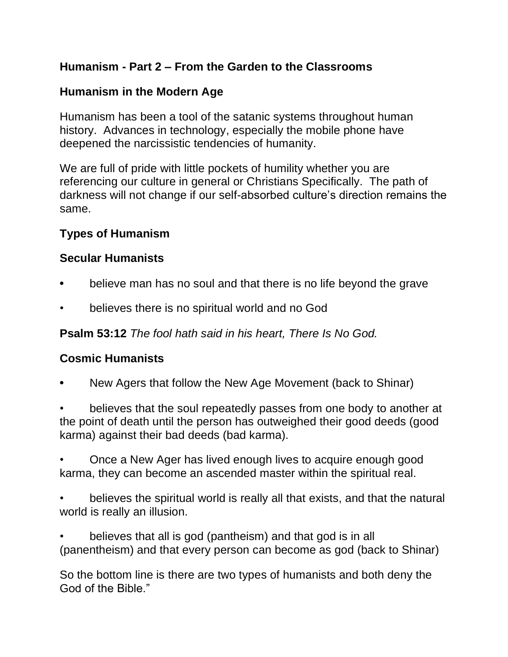# **Humanism - Part 2 – From the Garden to the Classrooms**

# **Humanism in the Modern Age**

Humanism has been a tool of the satanic systems throughout human history. Advances in technology, especially the mobile phone have deepened the narcissistic tendencies of humanity.

We are full of pride with little pockets of humility whether you are referencing our culture in general or Christians Specifically. The path of darkness will not change if our self-absorbed culture's direction remains the same.

## **Types of Humanism**

#### **Secular Humanists**

- **•** believe man has no soul and that there is no life beyond the grave
- believes there is no spiritual world and no God

**Psalm 53:12** *The fool hath said in his heart, There Is No God.*

#### **Cosmic Humanists**

**•** New Agers that follow the New Age Movement (back to Shinar)

• believes that the soul repeatedly passes from one body to another at the point of death until the person has outweighed their good deeds (good karma) against their bad deeds (bad karma).

• Once a New Ager has lived enough lives to acquire enough good karma, they can become an ascended master within the spiritual real.

- believes the spiritual world is really all that exists, and that the natural world is really an illusion.
- believes that all is god (pantheism) and that god is in all (panentheism) and that every person can become as god (back to Shinar)

So the bottom line is there are two types of humanists and both deny the God of the Bible."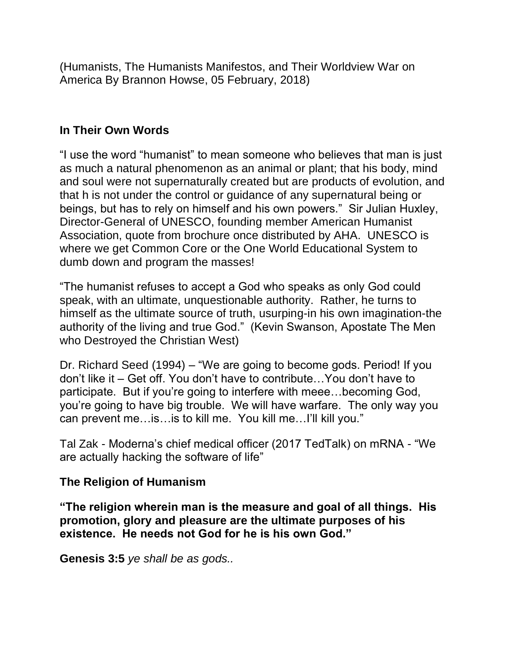(Humanists, The Humanists Manifestos, and Their Worldview War on America By Brannon Howse, 05 February, 2018)

### **In Their Own Words**

"I use the word "humanist" to mean someone who believes that man is just as much a natural phenomenon as an animal or plant; that his body, mind and soul were not supernaturally created but are products of evolution, and that h is not under the control or guidance of any supernatural being or beings, but has to rely on himself and his own powers." Sir Julian Huxley, Director-General of UNESCO, founding member American Humanist Association, quote from brochure once distributed by AHA. UNESCO is where we get Common Core or the One World Educational System to dumb down and program the masses!

"The humanist refuses to accept a God who speaks as only God could speak, with an ultimate, unquestionable authority. Rather, he turns to himself as the ultimate source of truth, usurping-in his own imagination-the authority of the living and true God." (Kevin Swanson, Apostate The Men who Destroyed the Christian West)

Dr. Richard Seed (1994) – "We are going to become gods. Period! If you don't like it – Get off. You don't have to contribute…You don't have to participate. But if you're going to interfere with meee…becoming God, you're going to have big trouble. We will have warfare. The only way you can prevent me…is…is to kill me. You kill me…I'll kill you."

Tal Zak - Moderna's chief medical officer (2017 TedTalk) on mRNA - "We are actually hacking the software of life"

#### **The Religion of Humanism**

**"The religion wherein man is the measure and goal of all things. His promotion, glory and pleasure are the ultimate purposes of his existence. He needs not God for he is his own God."**

**Genesis 3:5** *ye shall be as gods..*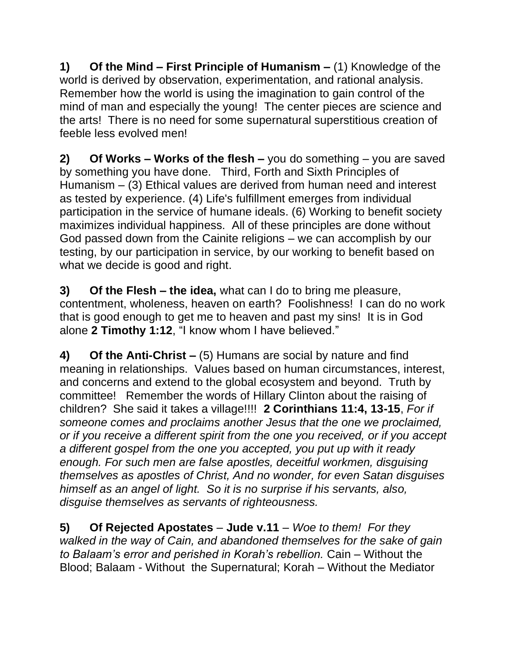**1) Of the Mind – First Principle of Humanism –** (1) Knowledge of the world is derived by observation, experimentation, and rational analysis. Remember how the world is using the imagination to gain control of the mind of man and especially the young! The center pieces are science and the arts! There is no need for some supernatural superstitious creation of feeble less evolved men!

**2) Of Works – Works of the flesh –** you do something – you are saved by something you have done. Third, Forth and Sixth Principles of Humanism – (3) Ethical values are derived from human need and interest as tested by experience. (4) Life's fulfillment emerges from individual participation in the service of humane ideals. (6) Working to benefit society maximizes individual happiness. All of these principles are done without God passed down from the Cainite religions – we can accomplish by our testing, by our participation in service, by our working to benefit based on what we decide is good and right.

**3) Of the Flesh – the idea,** what can I do to bring me pleasure, contentment, wholeness, heaven on earth? Foolishness! I can do no work that is good enough to get me to heaven and past my sins! It is in God alone **2 Timothy 1:12**, "I know whom I have believed."

**4) Of the Anti-Christ –** (5) Humans are social by nature and find meaning in relationships. Values based on human circumstances, interest, and concerns and extend to the global ecosystem and beyond. Truth by committee! Remember the words of Hillary Clinton about the raising of children? She said it takes a village!!!! **2 Corinthians 11:4, 13-15**, *For if someone comes and proclaims another Jesus that the one we proclaimed, or if you receive a different spirit from the one you received, or if you accept a different gospel from the one you accepted, you put up with it ready enough. For such men are false apostles, deceitful workmen, disguising themselves as apostles of Christ, And no wonder, for even Satan disguises himself as an angel of light. So it is no surprise if his servants, also, disguise themselves as servants of righteousness.*

**5) Of Rejected Apostates** – **Jude v.11** – *Woe to them! For they walked in the way of Cain, and abandoned themselves for the sake of gain to Balaam's error and perished in Korah's rebellion.* Cain – Without the Blood; Balaam - Without the Supernatural; Korah – Without the Mediator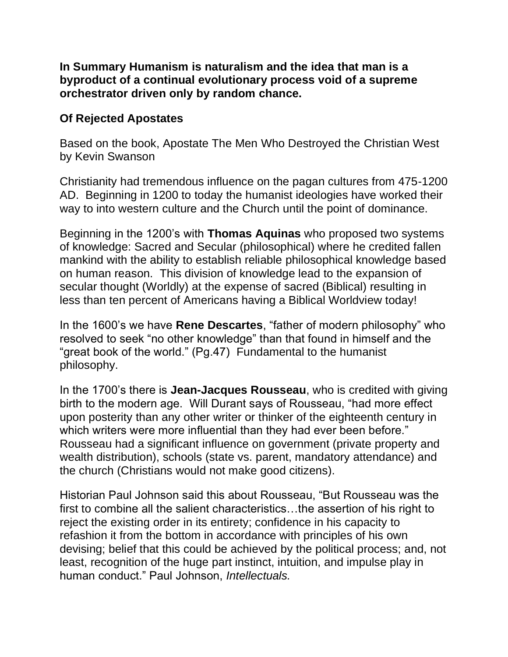**In Summary Humanism is naturalism and the idea that man is a byproduct of a continual evolutionary process void of a supreme orchestrator driven only by random chance.**

### **Of Rejected Apostates**

Based on the book, Apostate The Men Who Destroyed the Christian West by Kevin Swanson

Christianity had tremendous influence on the pagan cultures from 475-1200 AD. Beginning in 1200 to today the humanist ideologies have worked their way to into western culture and the Church until the point of dominance.

Beginning in the 1200's with **Thomas Aquinas** who proposed two systems of knowledge: Sacred and Secular (philosophical) where he credited fallen mankind with the ability to establish reliable philosophical knowledge based on human reason. This division of knowledge lead to the expansion of secular thought (Worldly) at the expense of sacred (Biblical) resulting in less than ten percent of Americans having a Biblical Worldview today!

In the 1600's we have **Rene Descartes**, "father of modern philosophy" who resolved to seek "no other knowledge" than that found in himself and the "great book of the world." (Pg.47) Fundamental to the humanist philosophy.

In the 1700's there is **Jean-Jacques Rousseau**, who is credited with giving birth to the modern age. Will Durant says of Rousseau, "had more effect upon posterity than any other writer or thinker of the eighteenth century in which writers were more influential than they had ever been before." Rousseau had a significant influence on government (private property and wealth distribution), schools (state vs. parent, mandatory attendance) and the church (Christians would not make good citizens).

Historian Paul Johnson said this about Rousseau, "But Rousseau was the first to combine all the salient characteristics…the assertion of his right to reject the existing order in its entirety; confidence in his capacity to refashion it from the bottom in accordance with principles of his own devising; belief that this could be achieved by the political process; and, not least, recognition of the huge part instinct, intuition, and impulse play in human conduct." Paul Johnson, *Intellectuals.*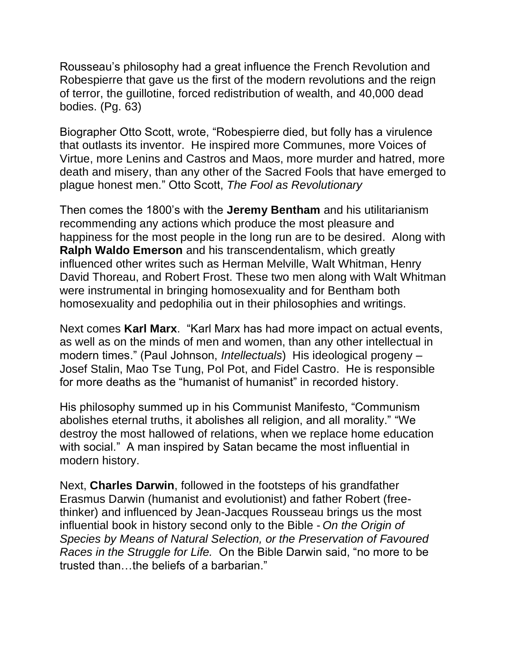Rousseau's philosophy had a great influence the French Revolution and Robespierre that gave us the first of the modern revolutions and the reign of terror, the guillotine, forced redistribution of wealth, and 40,000 dead bodies. (Pg. 63)

Biographer Otto Scott, wrote, "Robespierre died, but folly has a virulence that outlasts its inventor. He inspired more Communes, more Voices of Virtue, more Lenins and Castros and Maos, more murder and hatred, more death and misery, than any other of the Sacred Fools that have emerged to plague honest men." Otto Scott, *The Fool as Revolutionary*

Then comes the 1800's with the **Jeremy Bentham** and his utilitarianism recommending any actions which produce the most pleasure and happiness for the most people in the long run are to be desired. Along with **Ralph Waldo Emerson** and his transcendentalism, which greatly influenced other writes such as Herman Melville, Walt Whitman, Henry David Thoreau, and Robert Frost. These two men along with Walt Whitman were instrumental in bringing homosexuality and for Bentham both homosexuality and pedophilia out in their philosophies and writings.

Next comes **Karl Marx**. "Karl Marx has had more impact on actual events, as well as on the minds of men and women, than any other intellectual in modern times." (Paul Johnson, *Intellectuals*) His ideological progeny – Josef Stalin, Mao Tse Tung, Pol Pot, and Fidel Castro. He is responsible for more deaths as the "humanist of humanist" in recorded history.

His philosophy summed up in his Communist Manifesto, "Communism abolishes eternal truths, it abolishes all religion, and all morality." "We destroy the most hallowed of relations, when we replace home education with social." A man inspired by Satan became the most influential in modern history.

Next, **Charles Darwin**, followed in the footsteps of his grandfather Erasmus Darwin (humanist and evolutionist) and father Robert (freethinker) and influenced by Jean-Jacques Rousseau brings us the most influential book in history second only to the Bible - *On the Origin of Species by Means of Natural Selection, or the Preservation of Favoured Races in the Struggle for Life.* On the Bible Darwin said, "no more to be trusted than…the beliefs of a barbarian."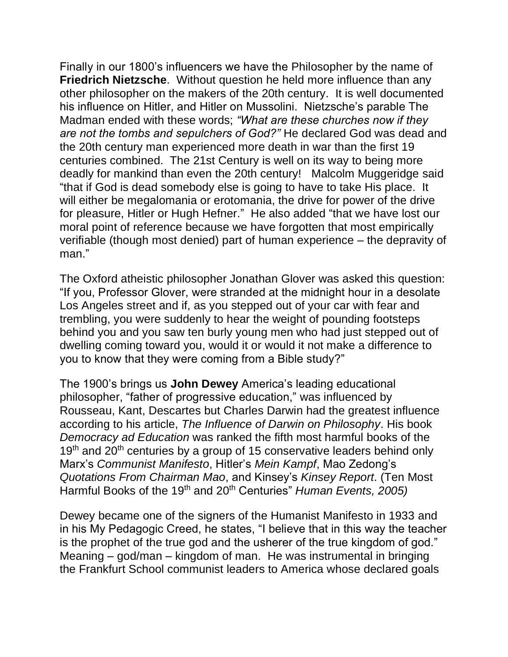Finally in our 1800's influencers we have the Philosopher by the name of **Friedrich Nietzsche**. Without question he held more influence than any other philosopher on the makers of the 20th century. It is well documented his influence on Hitler, and Hitler on Mussolini. Nietzsche's parable The Madman ended with these words; *"What are these churches now if they are not the tombs and sepulchers of God?"* He declared God was dead and the 20th century man experienced more death in war than the first 19 centuries combined. The 21st Century is well on its way to being more deadly for mankind than even the 20th century! Malcolm Muggeridge said "that if God is dead somebody else is going to have to take His place. It will either be megalomania or erotomania, the drive for power of the drive for pleasure, Hitler or Hugh Hefner." He also added "that we have lost our moral point of reference because we have forgotten that most empirically verifiable (though most denied) part of human experience – the depravity of man."

The Oxford atheistic philosopher Jonathan Glover was asked this question: "If you, Professor Glover, were stranded at the midnight hour in a desolate Los Angeles street and if, as you stepped out of your car with fear and trembling, you were suddenly to hear the weight of pounding footsteps behind you and you saw ten burly young men who had just stepped out of dwelling coming toward you, would it or would it not make a difference to you to know that they were coming from a Bible study?"

The 1900's brings us **John Dewey** America's leading educational philosopher, "father of progressive education," was influenced by Rousseau, Kant, Descartes but Charles Darwin had the greatest influence according to his article, *The Influence of Darwin on Philosophy*. His book *Democracy ad Education* was ranked the fifth most harmful books of the  $19<sup>th</sup>$  and  $20<sup>th</sup>$  centuries by a group of 15 conservative leaders behind only Marx's *Communist Manifesto*, Hitler's *Mein Kampf*, Mao Zedong's *Quotations From Chairman Mao*, and Kinsey's *Kinsey Report*. (Ten Most Harmful Books of the 19th and 20th Centuries" *Human Events, 2005)*

Dewey became one of the signers of the Humanist Manifesto in 1933 and in his My Pedagogic Creed, he states, "I believe that in this way the teacher is the prophet of the true god and the usherer of the true kingdom of god." Meaning – god/man – kingdom of man. He was instrumental in bringing the Frankfurt School communist leaders to America whose declared goals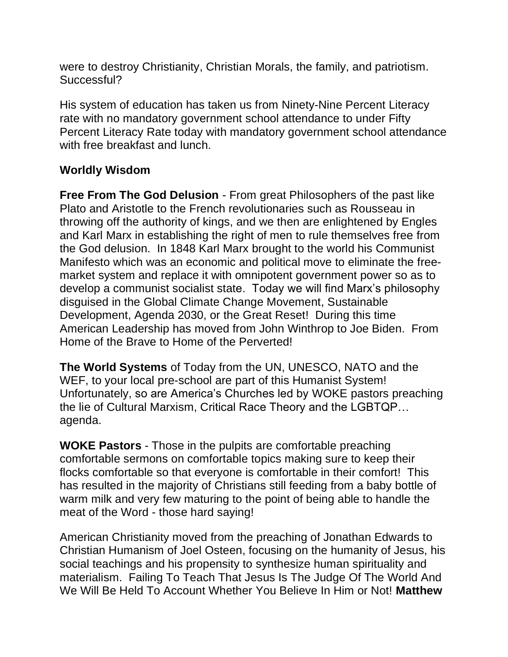were to destroy Christianity, Christian Morals, the family, and patriotism. Successful?

His system of education has taken us from Ninety-Nine Percent Literacy rate with no mandatory government school attendance to under Fifty Percent Literacy Rate today with mandatory government school attendance with free breakfast and lunch.

## **Worldly Wisdom**

**Free From The God Delusion** - From great Philosophers of the past like Plato and Aristotle to the French revolutionaries such as Rousseau in throwing off the authority of kings, and we then are enlightened by Engles and Karl Marx in establishing the right of men to rule themselves free from the God delusion. In 1848 Karl Marx brought to the world his Communist Manifesto which was an economic and political move to eliminate the freemarket system and replace it with omnipotent government power so as to develop a communist socialist state. Today we will find Marx's philosophy disguised in the Global Climate Change Movement, Sustainable Development, Agenda 2030, or the Great Reset! During this time American Leadership has moved from John Winthrop to Joe Biden. From Home of the Brave to Home of the Perverted!

**The World Systems** of Today from the UN, UNESCO, NATO and the WEF, to your local pre-school are part of this Humanist System! Unfortunately, so are America's Churches led by WOKE pastors preaching the lie of Cultural Marxism, Critical Race Theory and the LGBTQP… agenda.

**WOKE Pastors** - Those in the pulpits are comfortable preaching comfortable sermons on comfortable topics making sure to keep their flocks comfortable so that everyone is comfortable in their comfort! This has resulted in the majority of Christians still feeding from a baby bottle of warm milk and very few maturing to the point of being able to handle the meat of the Word - those hard saying!

American Christianity moved from the preaching of Jonathan Edwards to Christian Humanism of Joel Osteen, focusing on the humanity of Jesus, his social teachings and his propensity to synthesize human spirituality and materialism. Failing To Teach That Jesus Is The Judge Of The World And We Will Be Held To Account Whether You Believe In Him or Not! **Matthew**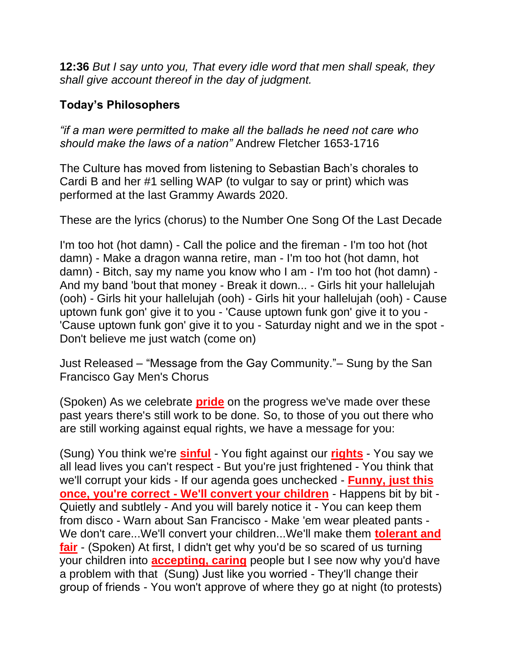**12:36** *But I say unto you, That every idle word that men shall speak, they shall give account thereof in the day of judgment.*

# **Today's Philosophers**

*"if a man were permitted to make all the ballads he need not care who should make the laws of a nation"* Andrew Fletcher 1653-1716

The Culture has moved from listening to Sebastian Bach's chorales to Cardi B and her #1 selling WAP (to vulgar to say or print) which was performed at the last Grammy Awards 2020.

These are the lyrics (chorus) to the Number One Song Of the Last Decade

I'm too hot (hot damn) - Call the police and the fireman - I'm too hot (hot damn) - Make a dragon wanna retire, man - I'm too hot (hot damn, hot damn) - Bitch, say my name you know who I am - I'm too hot (hot damn) - And my band 'bout that money - Break it down... - Girls hit your hallelujah (ooh) - Girls hit your hallelujah (ooh) - Girls hit your hallelujah (ooh) - Cause uptown funk gon' give it to you - 'Cause uptown funk gon' give it to you - 'Cause uptown funk gon' give it to you - Saturday night and we in the spot - Don't believe me just watch (come on)

Just Released – "Message from the Gay Community."– Sung by the San Francisco Gay Men's Chorus

(Spoken) As we celebrate **pride** on the progress we've made over these past years there's still work to be done. So, to those of you out there who are still working against equal rights, we have a message for you:

(Sung) You think we're **sinful** - You fight against our **rights** - You say we all lead lives you can't respect - But you're just frightened - You think that we'll corrupt your kids - If our agenda goes unchecked - **Funny, just this once, you're correct - We'll convert your children** - Happens bit by bit - Quietly and subtlely - And you will barely notice it - You can keep them from disco - Warn about San Francisco - Make 'em wear pleated pants - We don't care...We'll convert your children...We'll make them **tolerant and fair** - (Spoken) At first, I didn't get why you'd be so scared of us turning your children into **accepting, caring** people but I see now why you'd have a problem with that (Sung) Just like you worriеd - They'll change their group of friеnds - You won't approve of where they go at night (to protests)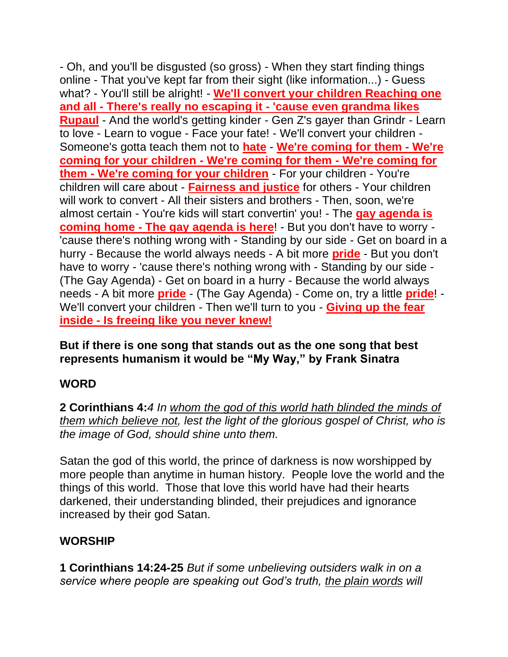- Oh, and you'll be disgusted (so gross) - When they start finding things online - That you've kept far from their sight (like information...) - Guess what? - You'll still be alright! - **We'll convert your children Reaching one and all - There's really no escaping it - 'cause even grandma likes Rupaul** - And the world's getting kinder - Gen Z's gayer than Grindr - Learn to love - Learn to vogue - Face your fate! - We'll convert your children - Someone's gotta teach them not to **hate** - **We're coming for them - We're coming for your children - We're coming for them - We're coming for them - We're coming for your children** - For your children - You're children will care about - **Fairness and justice** for others - Your children will work to convert - All their sisters and brothers - Then, soon, we're almost certain - You're kids will start convertin' you! - The **gay agenda is coming home - The gay agenda is here**! - But you don't have to worry - 'cause there's nothing wrong with - Standing by our side - Get on board in a hurry - Because the world always needs - A bit more **pride** - But you don't have to worry - 'cause there's nothing wrong with - Standing by our side - (The Gay Agenda) - Get on board in a hurry - Because the world always needs - A bit more **pride** - (The Gay Agenda) - Come on, try a little **pride**! - We'll convert your children - Then we'll turn to you - **Giving up the fear inside - Is freeing like you never knew!** 

#### **But if there is one song that stands out as the one song that best represents humanism it would be "My Way," by Frank Sinatra**

# **WORD**

**2 Corinthians 4:***4 In whom the god of this world hath blinded the minds of them which believe not, lest the light of the glorious gospel of Christ, who is the image of God, should shine unto them.*

Satan the god of this world, the prince of darkness is now worshipped by more people than anytime in human history. People love the world and the things of this world. Those that love this world have had their hearts darkened, their understanding blinded, their prejudices and ignorance increased by their god Satan.

## **WORSHIP**

**1 Corinthians 14:24-25** *But if some unbelieving outsiders walk in on a service where people are speaking out God's truth, the plain words will*